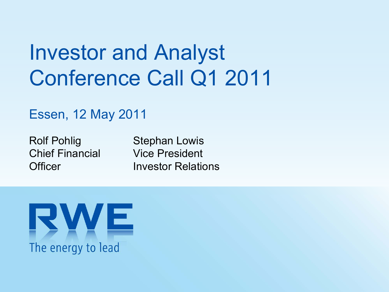# Investor and Analyst Conference Call Q1 2011

Essen, 12 May 2011

Rolf Pohlig Chief Financial Officer

Stephan Lowis Vice President Investor Relations

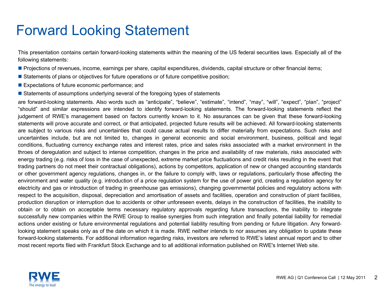### Forward Looking Statement

This presentation contains certain forward-looking statements within the meaning of the US federal securities laws. Especially all of the following statements:

- Projections of revenues, income, earnings per share, capital expenditures, dividends, capital structure or other financial items;
- **Statements of plans or objectives for future operations or of future competitive position**;
- **Expectations of future economic performance; and**
- **Statements of assumptions underlying several of the foregoing types of statements**

are forward-looking statements. Also words such as "anticipate", "believe", "estimate", "intend", "may", "will", "expect", "plan", "project" "should" and similar expressions are intended to identify forward-looking statements. The forward-looking statements reflect the judgement of RWE's management based on factors currently known to it. No assurances can be given that these forward-looking statements will prove accurate and correct, or that anticipated, projected future results will be achieved. All forward-looking statements are subject to various risks and uncertainties that could cause actual results to differ materially from expectations. Such risks and uncertainties include, but are not limited to, changes in general economic and social environment, business, political and legal conditions, fluctuating currency exchange rates and interest rates, price and sales risks associated with a market environment in the throes of deregulation and subject to intense competition, changes in the price and availability of raw materials, risks associated with energy trading (e.g. risks of loss in the case of unexpected, extreme market price fluctuations and credit risks resulting in the event that trading partners do not meet their contractual obligations), actions by competitors, application of new or changed accounting standards or other government agency regulations, changes in, or the failure to comply with, laws or regulations, particularly those affecting the environment and water quality (e.g. introduction of a price regulation system for the use of power grid, creating a regulation agency for electricity and gas or introduction of trading in greenhouse gas emissions), changing governmental policies and regulatory actions with respect to the acquisition, disposal, depreciation and amortisation of assets and facilities, operation and construction of plant facilities, production disruption or interruption due to accidents or other unforeseen events, delays in the construction of facilities, the inability to obtain or to obtain on acceptable terms necessary regulatory approvals regarding future transactions, the inability to integrate successfully new companies within the RWE Group to realise synergies from such integration and finally potential liability for remedial actions under existing or future environmental regulations and potential liability resulting from pending or future litigation. Any forwardlooking statement speaks only as of the date on which it is made. RWE neither intends to nor assumes any obligation to update these forward-looking statements. For additional information regarding risks, investors are referred to RWE's latest annual report and to other most recent reports filed with Frankfurt Stock Exchange and to all additional information published on RWE's Internet Web site.

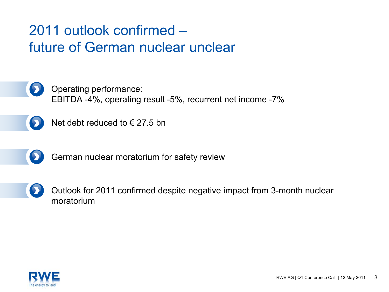### 2011 outlook confirmed –future of German nuclear unclear



Operating performance: EBITDA -4%, operating result -5%, recurrent net income -7%



Net debt reduced to  $\epsilon$  27.5 bn



German nuclear moratorium for safety review

Outlook for 2011 confirmed despite negative impact from 3-month nuclear moratorium

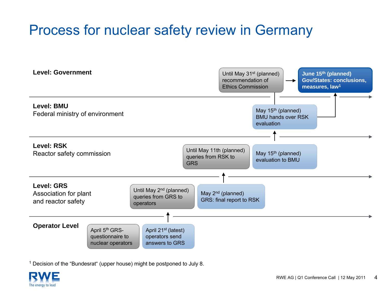### Process for nuclear safety review in Germany



<sup>1</sup> Decision of the "Bundesrat" (upper house) might be postponed to July 8.

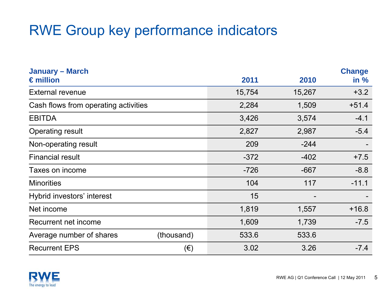### RWE Group key performance indicators

| <b>January – March</b><br>$\epsilon$ million |            | 2011   | 2010   | <b>Change</b><br>in $%$ |
|----------------------------------------------|------------|--------|--------|-------------------------|
| <b>External revenue</b>                      |            | 15,754 | 15,267 | $+3.2$                  |
| Cash flows from operating activities         |            | 2,284  | 1,509  | $+51.4$                 |
| <b>EBITDA</b>                                |            | 3,426  | 3,574  | $-4.1$                  |
| <b>Operating result</b>                      | 2,827      | 2,987  | $-5.4$ |                         |
| Non-operating result                         |            | 209    | $-244$ |                         |
| <b>Financial result</b>                      |            | $-372$ | $-402$ | $+7.5$                  |
| Taxes on income                              |            | $-726$ | $-667$ | $-8.8$                  |
| <b>Minorities</b>                            |            | 104    | 117    | $-11.1$                 |
| Hybrid investors' interest                   |            | 15     |        |                         |
| Net income                                   |            | 1,819  | 1,557  | $+16.8$                 |
| Recurrent net income                         |            | 1,609  | 1,739  | $-7.5$                  |
| Average number of shares                     | (thousand) | 533.6  | 533.6  |                         |
| <b>Recurrent EPS</b>                         | $(\in)$    | 3.02   | 3.26   | $-7.4$                  |

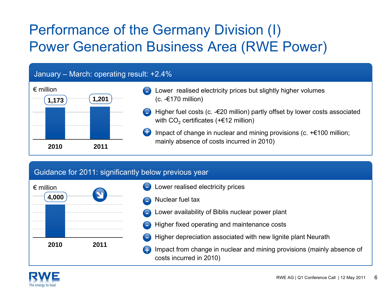### Performance of the Germany Division (I) Power Generation Business Area (RWE Power)

#### January – March: operating result: +2.4%



#### Guidance for 2011: significantly below previous year



Lower realised electricity prices Nuclear fuel taxLower availability of Biblis nuclear power plant Higher fixed operating and maintenance costs Higher depreciation associated with new lignite plant Neurath Impact from change in nuclear and mining provisions (mainly absence of costs incurred in 2010)

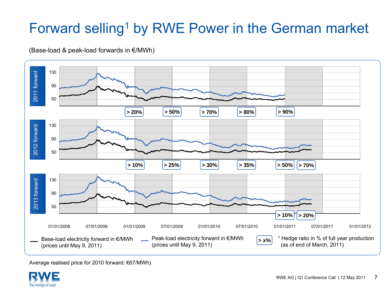# Forward selling<sup>1</sup> by RWE Power in the German market



(Base-load & peak-load forwards in €/MWh)

Average realised price for 2010 forward: €67/MWh)

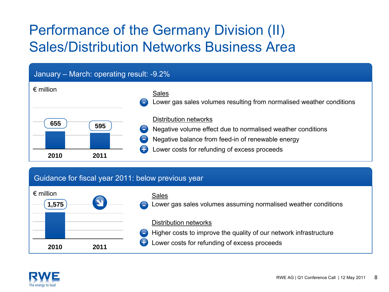### Performance of the Germany Division (II) Sales/Distribution Networks Business Area



#### Guidance for fiscal year 2011: below previous year



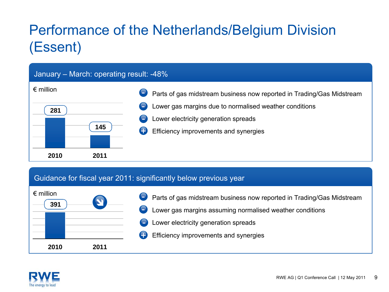# Performance of the Netherlands/Belgium Division (Essent)



#### Guidance for fiscal year 2011: significantly below previous year



 Parts of gas midstream business now reported in Trading/Gas Midstream Lower gas margins assuming normalised weather conditions Lower electricity generation spreads +Efficiency improvements and synergies

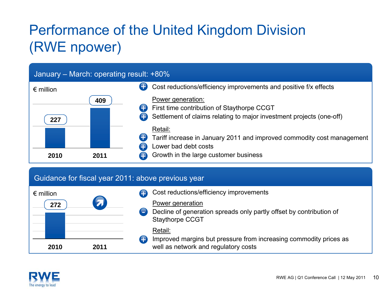# Performance of the United Kingdom Division (RWE npower)

|                    |      | January - March: operating result: +80%                                                                                                                                                                                                              |
|--------------------|------|------------------------------------------------------------------------------------------------------------------------------------------------------------------------------------------------------------------------------------------------------|
| $\epsilon$ million |      | Cost reductions/efficiency improvements and positive f/x effects                                                                                                                                                                                     |
| 227                | 409  | Power generation:<br>First time contribution of Staythorpe CCGT<br>Settlement of claims relating to major investment projects (one-off)<br>Retail:<br>Tariff increase in January 2011 and improved commodity cost management<br>Lower bad debt costs |
| 2010               | 2011 | Growth in the large customer business                                                                                                                                                                                                                |

#### Guidance for fiscal year 2011: above previous year

| $\epsilon$ million<br>272 |      | <b>Service</b> | Cost reductions/efficiency improvements<br>Power generation<br>Decline of generation spreads only partly offset by contribution of |
|---------------------------|------|----------------|------------------------------------------------------------------------------------------------------------------------------------|
|                           |      |                | <b>Staythorpe CCGT</b>                                                                                                             |
|                           |      |                | Retail:                                                                                                                            |
| 2010                      | 2011 | Ŧ              | Improved margins but pressure from increasing commodity prices as<br>well as network and regulatory costs                          |

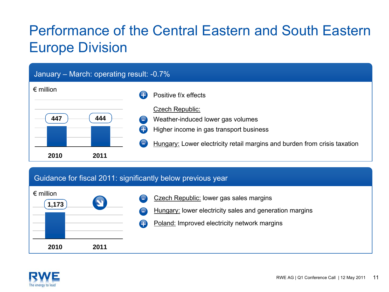### Performance of the Central Eastern and South Eastern Europe Division



#### Guidance for fiscal 2011: significantly below previous year



- Czech Republic: lower gas sales margins
- Hungary: lower electricity sales and generation margins
- Poland: Improved electricity network margins +

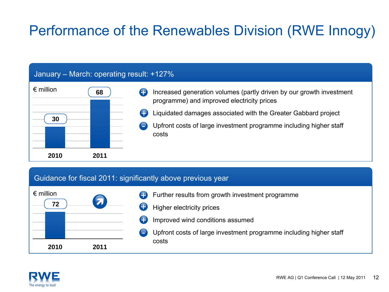### Performance of the Renewables Division (RWE Innogy)

#### January – March: operating result: +127%

| $\epsilon$ million | 68   | Increased generation volumes (partly driven by our growth investment<br>programme) and improved electricity prices                                 |
|--------------------|------|----------------------------------------------------------------------------------------------------------------------------------------------------|
| 30                 |      | Liquidated damages associated with the Greater Gabbard project<br>Upfront costs of large investment programme including higher staff<br>÷<br>costs |
| 2010               | 2011 |                                                                                                                                                    |

#### Guidance for fiscal 2011: significantly above previous year



- Further results from growth investment programme Higher electricity prices
- +
- Improved wind conditions assumed +
	- Upfront costs of large investment programme including higher staff costs

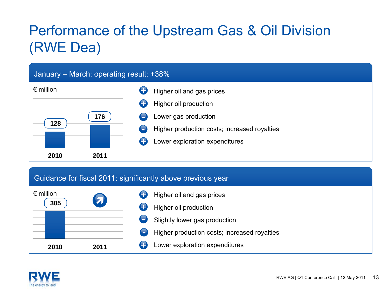# Performance of the Upstream Gas & Oil Division (RWE Dea)



#### Guidance for fiscal 2011: significantly above previous year



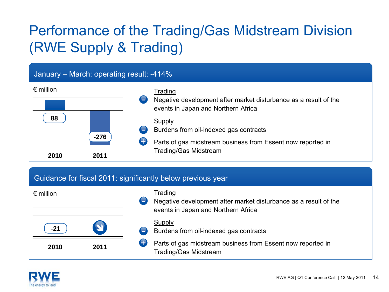# Performance of the Trading/Gas Midstream Division (RWE Supply & Trading)

### January – March: operating result: -414%

| $\epsilon$ million |                          | Trading                                                                                                 |
|--------------------|--------------------------|---------------------------------------------------------------------------------------------------------|
|                    | $\overline{\phantom{0}}$ | Negative development after market disturbance as a result of the<br>events in Japan and Northern Africa |
| 88                 | $\blacksquare$           | Supply<br>Burdens from oil-indexed gas contracts                                                        |
|                    | $-276$<br>Ŧ              | Parts of gas midstream business from Essent now reported in                                             |
| 2010               | 2011                     | <b>Trading/Gas Midstream</b>                                                                            |

#### Guidance for fiscal 2011: significantly below previous year

| $\epsilon$ million |      | ٠            | Trading<br>Negative development after market disturbance as a result of the<br>events in Japan and Northern Africa |
|--------------------|------|--------------|--------------------------------------------------------------------------------------------------------------------|
| $-21$              |      | <b>Andre</b> | Supply<br>Burdens from oil-indexed gas contracts                                                                   |
| 2010               | 2011 |              | Parts of gas midstream business from Essent now reported in<br><b>Trading/Gas Midstream</b>                        |

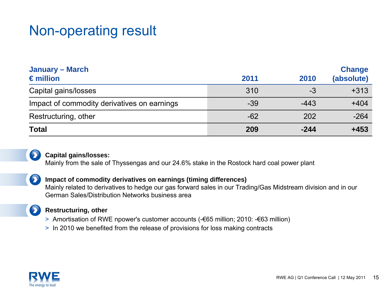### Non-operating result

| <b>January – March</b><br>$\epsilon$ million | 2011  | 2010   | <b>Change</b><br>(absolute) |
|----------------------------------------------|-------|--------|-----------------------------|
| Capital gains/losses                         | 310   | -3     | $+313$                      |
| Impact of commodity derivatives on earnings  | $-39$ | $-443$ | $+404$                      |
| Restructuring, other                         | $-62$ | 202    | $-264$                      |
| <b>Total</b>                                 | 209   | $-244$ | $+453$                      |



#### **Capital gains/losses:**

Mainly from the sale of Thyssengas and our 24.6% stake in the Rostock hard coal power plant



#### **Impact of commodity derivatives on earnings (timing differences)**

Mainly related to derivatives to hedge our gas forward sales in our Trading/Gas Midstream division and in our German Sales/Distribution Networks business area



#### **Restructuring, other**

- > Amortisation of RWE npower's customer accounts (-€65 million; 2010: -€63 million)
- > In 2010 we benefited from the release of provisions for loss making contracts

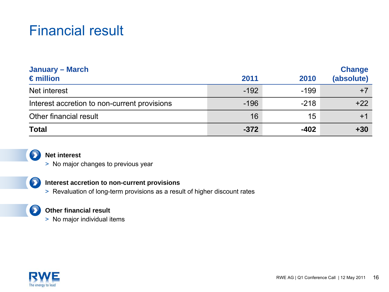### Financial result

| January – March                              |        |        | <b>Change</b> |
|----------------------------------------------|--------|--------|---------------|
| $\epsilon$ million                           | 2011   | 2010   | (absolute)    |
| Net interest                                 | $-192$ | $-199$ | $+7$          |
| Interest accretion to non-current provisions | $-196$ | $-218$ | $+22$         |
| Other financial result                       | 16     | 15     | $+1$          |
| <b>Total</b>                                 | $-372$ | $-402$ | $+30$         |



#### **Net interest**

> No major changes to previous year



#### **Interest accretion to non-current provisions**

> Revaluation of long-term provisions as a result of higher discount rates

### $\mathbf{D}$

#### **Other financial result**

> No major individual items

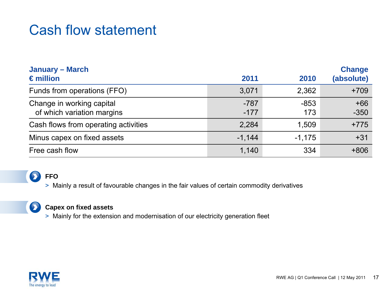### Cash flow statement

| <b>January – March</b><br>$\epsilon$ million            | 2011             | 2010          | <b>Change</b><br>(absolute) |
|---------------------------------------------------------|------------------|---------------|-----------------------------|
| Funds from operations (FFO)                             | 3,071            | 2,362         | $+709$                      |
| Change in working capital<br>of which variation margins | $-787$<br>$-177$ | $-853$<br>173 | $+66$<br>$-350$             |
| Cash flows from operating activities                    | 2,284            | 1,509         | $+775$                      |
| Minus capex on fixed assets                             | $-1,144$         | $-1,175$      | $+31$                       |
| Free cash flow                                          | 1,140            | 334           | $+806$                      |

 $\bullet$ **FFO**

> Mainly a result of favourable changes in the fair values of certain commodity derivatives

#### **Capex on fixed assets**   $\mathbf{\Omega}$

> Mainly for the extension and modernisation of our electricity generation fleet

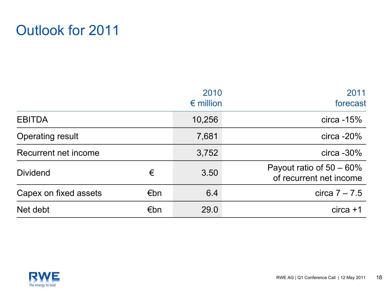### Outlook for 2011

|                         |     | 2010               | 2011                                                   |
|-------------------------|-----|--------------------|--------------------------------------------------------|
|                         |     | $\epsilon$ million | forecast                                               |
| <b>EBITDA</b>           |     | 10,256             | circa $-15%$                                           |
| <b>Operating result</b> |     | 7,681              | circa $-20\%$                                          |
| Recurrent net income    |     | 3,752              | $circa - 30\%$                                         |
| <b>Dividend</b>         | €   | 3.50               | Payout ratio of $50 - 60\%$<br>of recurrent net income |
| Capex on fixed assets   | €bn | 6.4                | circa $7 - 7.5$                                        |
| Net debt                | €bn | 29.0               | $circa + 1$                                            |

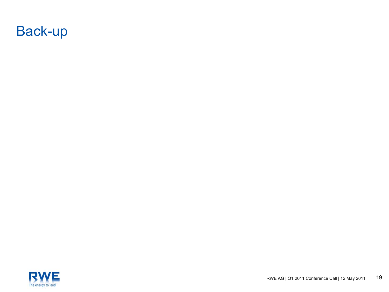

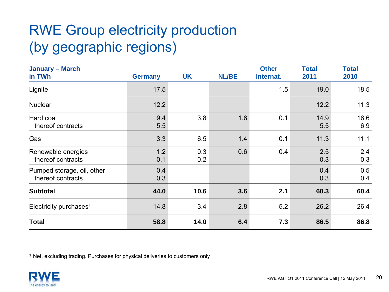## RWE Group electricity production (by geographic regions)

| <b>January – March</b><br>in TWh                | <b>Germany</b> | <b>UK</b>  | <b>NL/BE</b> | <b>Other</b><br>Internat. | <b>Total</b><br>2011 | <b>Total</b><br>2010 |
|-------------------------------------------------|----------------|------------|--------------|---------------------------|----------------------|----------------------|
| Lignite                                         | 17.5           |            |              | 1.5                       | 19.0                 | 18.5                 |
| <b>Nuclear</b>                                  | 12.2           |            |              |                           | 12.2                 | 11.3                 |
| Hard coal<br>thereof contracts                  | 9.4<br>5.5     | 3.8        | 1.6          | 0.1                       | 14.9<br>5.5          | 16.6<br>6.9          |
| Gas                                             | 3.3            | 6.5        | 1.4          | 0.1                       | 11.3                 | 11.1                 |
| Renewable energies<br>thereof contracts         | 1.2<br>0.1     | 0.3<br>0.2 | 0.6          | 0.4                       | 2.5<br>0.3           | 2.4<br>0.3           |
| Pumped storage, oil, other<br>thereof contracts | 0.4<br>0.3     |            |              |                           | 0.4<br>0.3           | 0.5<br>0.4           |
| <b>Subtotal</b>                                 | 44.0           | 10.6       | 3.6          | 2.1                       | 60.3                 | 60.4                 |
| Electricity purchases <sup>1</sup>              | 14.8           | 3.4        | 2.8          | 5.2                       | 26.2                 | 26.4                 |
| <b>Total</b>                                    | 58.8           | 14.0       | 6.4          | 7.3                       | 86.5                 | 86.8                 |

<sup>1</sup> Net, excluding trading. Purchases for physical deliveries to customers only

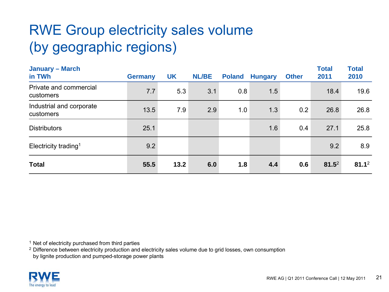## RWE Group electricity sales volume (by geographic regions)

| <b>January - March</b><br>in TWh      | <b>Germany</b> | <b>UK</b> | <b>NL/BE</b> | <b>Poland</b> | <b>Hungary</b> | <b>Other</b> | <b>Total</b><br>2011 | <b>Total</b><br>2010 |
|---------------------------------------|----------------|-----------|--------------|---------------|----------------|--------------|----------------------|----------------------|
| Private and commercial<br>customers   | 7.7            | 5.3       | 3.1          | 0.8           | 1.5            |              | 18.4                 | 19.6                 |
| Industrial and corporate<br>customers | 13.5           | 7.9       | 2.9          | 1.0           | 1.3            | 0.2          | 26.8                 | 26.8                 |
| <b>Distributors</b>                   | 25.1           |           |              |               | 1.6            | 0.4          | 27.1                 | 25.8                 |
| Electricity trading <sup>1</sup>      | 9.2            |           |              |               |                |              | 9.2                  | 8.9                  |
| <b>Total</b>                          | 55.5           | 13.2      | 6.0          | 1.8           | 4.4            | 0.6          | $81.5^2$             | $81.1^2$             |

<sup>1</sup> Net of electricity purchased from third parties

 $2$  Difference between electricity production and electricity sales volume due to grid losses, own consumption

by lignite production and pumped-storage power plants

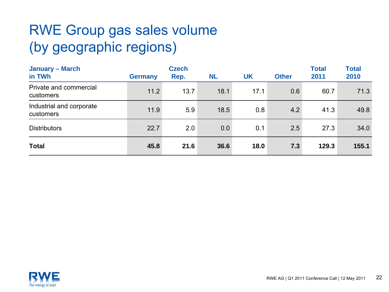## RWE Group gas sales volume (by geographic regions)

| <b>January – March</b><br>in TWh      | <b>Germany</b> | <b>Czech</b><br>Rep. | <b>NL</b> | <b>UK</b> | <b>Other</b> | <b>Total</b><br>2011 | <b>Total</b><br>2010 |
|---------------------------------------|----------------|----------------------|-----------|-----------|--------------|----------------------|----------------------|
| Private and commercial<br>customers   | 11.2           | 13.7                 | 18.1      | 17.1      | 0.6          | 60.7                 | 71.3                 |
| Industrial and corporate<br>customers | 11.9           | 5.9                  | 18.5      | 0.8       | 4.2          | 41.3                 | 49.8                 |
| <b>Distributors</b>                   | 22.7           | 2.0                  | 0.0       | 0.1       | 2.5          | 27.3                 | 34.0                 |
| <b>Total</b>                          | 45.8           | 21.6                 | 36.6      | 18.0      | 7.3          | 129.3                | 155.1                |

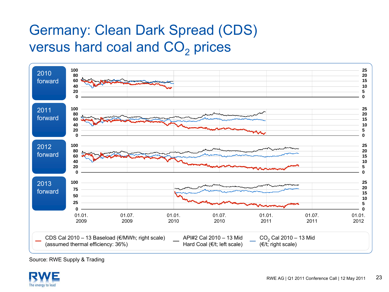### Germany: Clean Dark Spread (CDS) versus hard coal and  $\mathsf{CO}_2$  prices



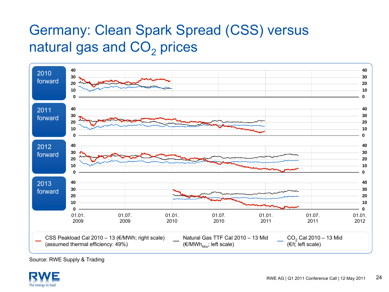### Germany: Clean Spark Spread (CSS) versus natural gas and  $\mathsf{CO}_2$  prices



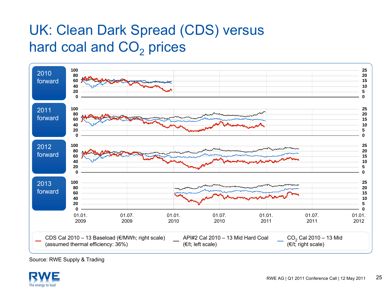### UK: Clean Dark Spread (CDS) versus hard coal and  $\mathsf{CO}_2$  prices



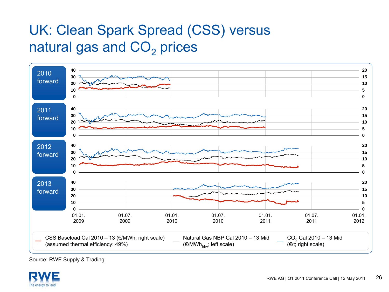### UK: Clean Spark Spread (CSS) versus natural gas and  $\mathsf{CO}_2$  prices



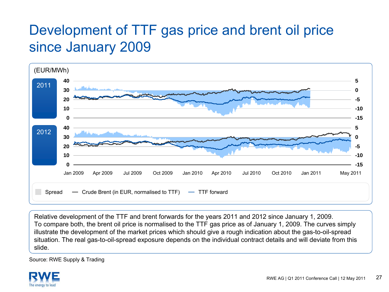### Development of TTF gas price and brent oil price since January 2009



Relative development of the TTF and brent forwards for the years 2011 and 2012 since January 1, 2009. To compare both, the brent oil price is normalised to the TTF gas price as of January 1, 2009. The curves simply illustrate the development of the market prices which should give a rough indication about the gas-to-oil-spread situation. The real gas-to-oil-spread exposure depends on the individual contract details and will deviate from this slide.

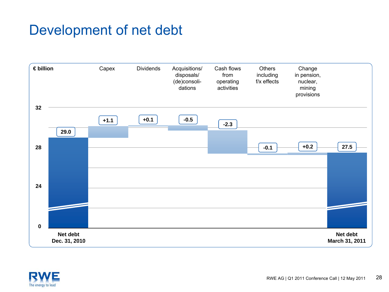### Development of net debt



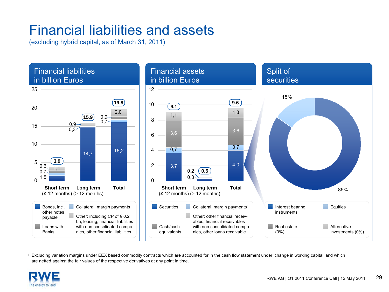### Financial liabilities and assets

(excluding hybrid capital, as of March 31, 2011)



1 Excluding variation margins under EEX based commodity contracts which are accounted for in the cash flow statement under 'change in working capital' and which are netted against the fair values of the respective derivatives at any point in time.

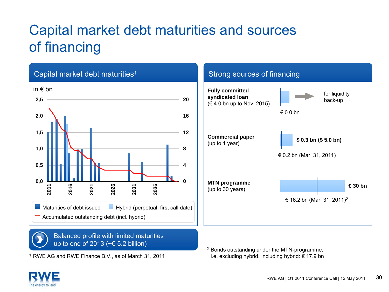# Capital market debt maturities and sources of financing



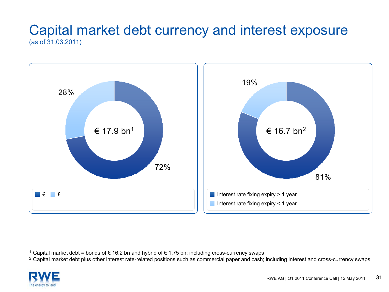### Capital market debt currency and interest exposure (as of 31.03.2011)



<sup>2</sup> Capital market debt plus other interest rate-related positions such as commercial paper and cash; including interest and cross-currency swaps



<sup>&</sup>lt;sup>1</sup> Capital market debt = bonds of € 16.2 bn and hybrid of € 1.75 bn; including cross-currency swaps